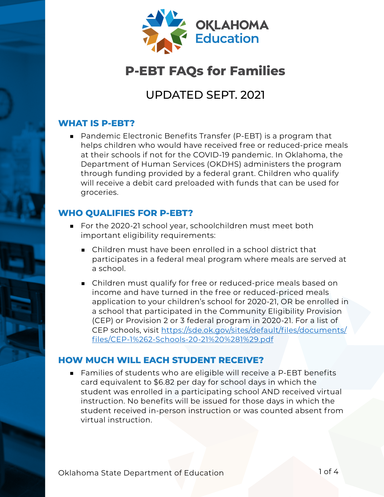

# **P-EBT FAQs for Families**

# UPDATED SEPT. 2021

#### **WHAT IS P-EBT?**

■ Pandemic Electronic Benefits Transfer (P-EBT) is a program that helps children who would have received free or reduced-price meals at their schools if not for the COVID-19 pandemic. In Oklahoma, the Department of Human Services (OKDHS) administers the program through funding provided by a federal grant. Children who qualify will receive a debit card preloaded with funds that can be used for groceries.

# **WHO QUALIFIES FOR P-EBT?**

- For the 2020-21 school year, schoolchildren must meet both important eligibility requirements:
	- Children must have been enrolled in a school district that participates in a federal meal program where meals are served at a school.
	- Children must qualify for free or reduced-price meals based on income and have turned in the free or reduced-priced meals application to your children's school for 2020-21, OR be enrolled in a school that participated in the Community Eligibility Provision (CEP) or Provision 2 or 3 federal program in 2020-21. For a list of CEP schools, visit [https://sde.ok.gov/sites/default/files/documents/](https://sde.ok.gov/sites/default/files/documents/files/CEP-1%262-Schools-20-21%20%281%29.pdf ) [files/CEP-1%262-Schools-20-21%20%281%29.pdf](https://sde.ok.gov/sites/default/files/documents/files/CEP-1%262-Schools-20-21%20%281%29.pdf )

# **HOW MUCH WILL EACH STUDENT RECEIVE?**

■ Families of students who are eligible will receive a P-EBT benefits card equivalent to \$6.82 per day for school days in which the student was enrolled in a participating school AND received virtual instruction. No benefits will be issued for those days in which the student received in-person instruction or was counted absent from virtual instruction.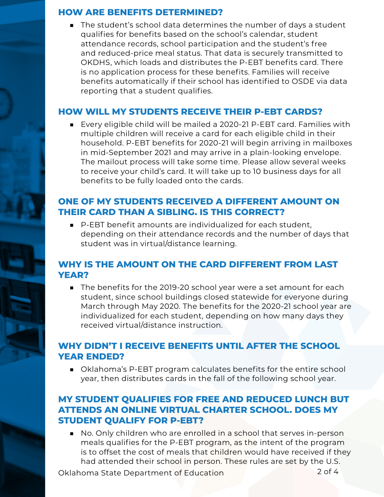#### **HOW ARE BENEFITS DETERMINED?**

■ The student's school data determines the number of days a student qualifies for benefits based on the school's calendar, student attendance records, school participation and the student's free and reduced-price meal status. That data is securely transmitted to OKDHS, which loads and distributes the P-EBT benefits card. There is no application process for these benefits. Families will receive benefits automatically if their school has identified to OSDE via data reporting that a student qualifies.

#### **HOW WILL MY STUDENTS RECEIVE THEIR P-EBT CARDS?**

■ Every eligible child will be mailed a 2020-21 P-EBT card. Families with multiple children will receive a card for each eligible child in their household. P-EBT benefits for 2020-21 will begin arriving in mailboxes in mid-September 2021 and may arrive in a plain-looking envelope. The mailout process will take some time. Please allow several weeks to receive your child's card. It will take up to 10 business days for all benefits to be fully loaded onto the cards.

#### **ONE OF MY STUDENTS RECEIVED A DIFFERENT AMOUNT ON THEIR CARD THAN A SIBLING. IS THIS CORRECT?**

■ P-EBT benefit amounts are individualized for each student, depending on their attendance records and the number of days that student was in virtual/distance learning.

# **WHY IS THE AMOUNT ON THE CARD DIFFERENT FROM LAST YEAR?**

■ The benefits for the 2019-20 school year were a set amount for each student, since school buildings closed statewide for everyone during March through May 2020. The benefits for the 2020-21 school year are individualized for each student, depending on how many days they received virtual/distance instruction.

#### **WHY DIDN'T I RECEIVE BENEFITS UNTIL AFTER THE SCHOOL YEAR ENDED?**

■ Oklahoma's P-EBT program calculates benefits for the entire school year, then distributes cards in the fall of the following school year.

# **MY STUDENT QUALIFIES FOR FREE AND REDUCED LUNCH BUT ATTENDS AN ONLINE VIRTUAL CHARTER SCHOOL. DOES MY STUDENT QUALIFY FOR P-EBT?**

■ No. Only children who are enrolled in a school that serves in-person meals qualifies for the P-EBT program, as the intent of the program is to offset the cost of meals that children would have received if they had attended their school in person. These rules are set by the U.S.

Oklahoma State Department of Education 2 of 4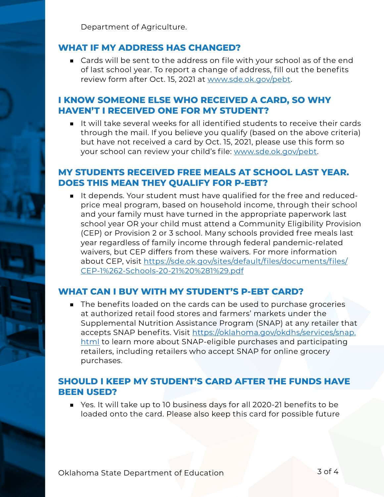Department of Agriculture.

#### **WHAT IF MY ADDRESS HAS CHANGED?**

■ Cards will be sent to the address on file with your school as of the end of last school year. To report a change of address, fill out the benefits review form after Oct. 15, 2021 at [www.sde.ok.gov/pebt.](http://www.sde.ok.gov/pebt )

#### **I KNOW SOMEONE ELSE WHO RECEIVED A CARD, SO WHY HAVEN'T I RECEIVED ONE FOR MY STUDENT?**

■ It will take several weeks for all identified students to receive their cards through the mail. If you believe you qualify (based on the above criteria) but have not received a card by Oct. 15, 2021, please use this form so your school can review your child's file: [www.sde.ok.gov/pebt.](http://www.sde.ok.gov/pebt )

#### **MY STUDENTS RECEIVED FREE MEALS AT SCHOOL LAST YEAR. DOES THIS MEAN THEY QUALIFY FOR P-EBT?**

■ It depends. Your student must have qualified for the free and reducedprice meal program, based on household income, through their school and your family must have turned in the appropriate paperwork last school year OR your child must attend a Community Eligibility Provision (CEP) or Provision 2 or 3 school. Many schools provided free meals last year regardless of family income through federal pandemic-related waivers, but CEP differs from these waivers. For more information about CEP, visit [https://sde.ok.gov/sites/default/files/documents/files/](https://sde.ok.gov/sites/default/files/documents/files/CEP-1%262-Schools-20-21%20%281%29.pdf) [CEP-1%262-Schools-20-21%20%281%29.pdf](https://sde.ok.gov/sites/default/files/documents/files/CEP-1%262-Schools-20-21%20%281%29.pdf)

#### **WHAT CAN I BUY WITH MY STUDENT'S P-EBT CARD?**

■ The benefits loaded on the cards can be used to purchase groceries at authorized retail food stores and farmers' markets under the Supplemental Nutrition Assistance Program (SNAP) at any retailer that accepts SNAP benefits. Visit [https://oklahoma.gov/okdhs/services/snap.](https://oklahoma.gov/okdhs/services/snap.html) [html](https://oklahoma.gov/okdhs/services/snap.html) to learn more about SNAP-eligible purchases and participating retailers, including retailers who accept SNAP for online grocery purchases.

#### **SHOULD I KEEP MY STUDENT'S CARD AFTER THE FUNDS HAVE BEEN USED?**

■ Yes. It will take up to 10 business days for all 2020-21 benefits to be loaded onto the card. Please also keep this card for possible future